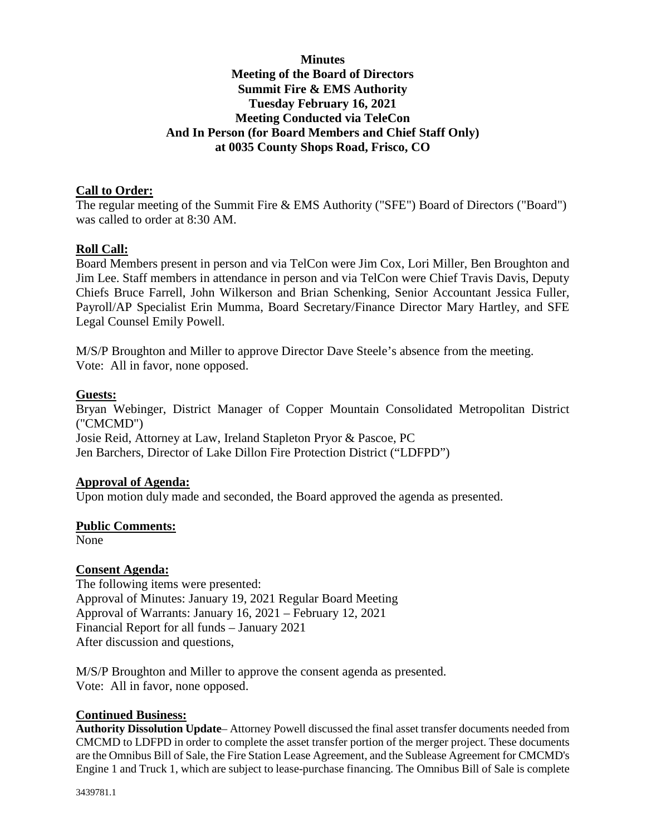# **Minutes Meeting of the Board of Directors Summit Fire & EMS Authority Tuesday February 16, 2021 Meeting Conducted via TeleCon And In Person (for Board Members and Chief Staff Only) at 0035 County Shops Road, Frisco, CO**

## **Call to Order:**

The regular meeting of the Summit Fire & EMS Authority ("SFE") Board of Directors ("Board") was called to order at 8:30 AM.

## **Roll Call:**

Board Members present in person and via TelCon were Jim Cox, Lori Miller, Ben Broughton and Jim Lee. Staff members in attendance in person and via TelCon were Chief Travis Davis, Deputy Chiefs Bruce Farrell, John Wilkerson and Brian Schenking, Senior Accountant Jessica Fuller, Payroll/AP Specialist Erin Mumma, Board Secretary/Finance Director Mary Hartley, and SFE Legal Counsel Emily Powell.

M/S/P Broughton and Miller to approve Director Dave Steele's absence from the meeting. Vote: All in favor, none opposed.

#### **Guests:**

Bryan Webinger, District Manager of Copper Mountain Consolidated Metropolitan District ("CMCMD") Josie Reid, Attorney at Law, Ireland Stapleton Pryor & Pascoe, PC Jen Barchers, Director of Lake Dillon Fire Protection District ("LDFPD")

## **Approval of Agenda:**

Upon motion duly made and seconded, the Board approved the agenda as presented.

#### **Public Comments:**

None

#### **Consent Agenda:**

The following items were presented: Approval of Minutes: January 19, 2021 Regular Board Meeting Approval of Warrants: January 16, 2021 – February 12, 2021 Financial Report for all funds – January 2021 After discussion and questions,

M/S/P Broughton and Miller to approve the consent agenda as presented. Vote: All in favor, none opposed.

#### **Continued Business:**

**Authority Dissolution Update**– Attorney Powell discussed the final asset transfer documents needed from CMCMD to LDFPD in order to complete the asset transfer portion of the merger project. These documents are the Omnibus Bill of Sale, the Fire Station Lease Agreement, and the Sublease Agreement for CMCMD's Engine 1 and Truck 1, which are subject to lease-purchase financing. The Omnibus Bill of Sale is complete